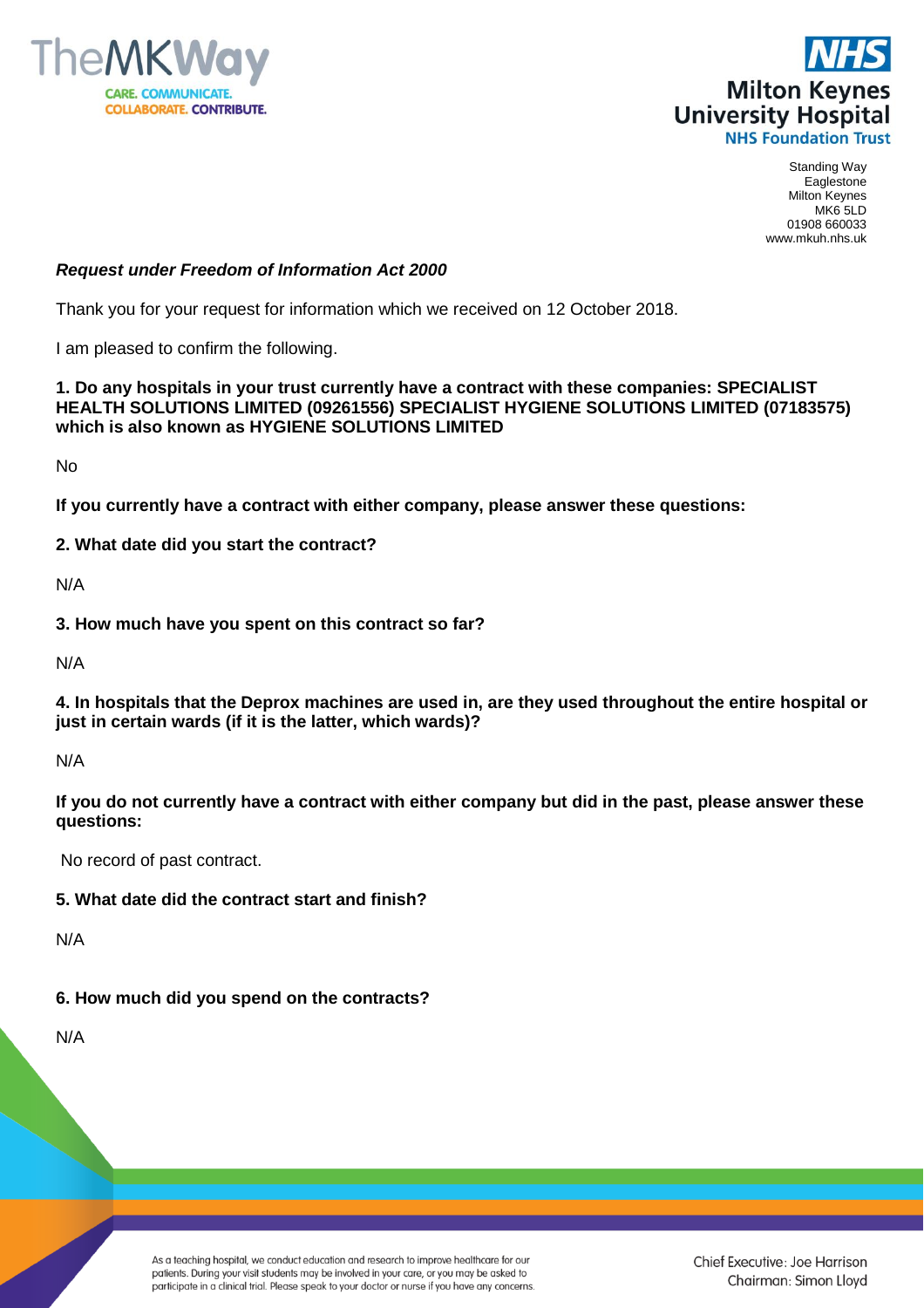



Standing Way Eaglestone Milton Keynes MK6 5LD 01908 660033 www.mkuh.nhs.uk

## *Request under Freedom of Information Act 2000*

Thank you for your request for information which we received on 12 October 2018.

I am pleased to confirm the following.

**1. Do any hospitals in your trust currently have a contract with these companies: SPECIALIST HEALTH SOLUTIONS LIMITED (09261556) SPECIALIST HYGIENE SOLUTIONS LIMITED (07183575) which is also known as HYGIENE SOLUTIONS LIMITED**

No

**If you currently have a contract with either company, please answer these questions:**

**2. What date did you start the contract?**

N/A

**3. How much have you spent on this contract so far?**

N/A

**4. In hospitals that the Deprox machines are used in, are they used throughout the entire hospital or just in certain wards (if it is the latter, which wards)?**

N/A

**If you do not currently have a contract with either company but did in the past, please answer these questions:**

No record of past contract.

## **5. What date did the contract start and finish?**

N/A

## **6. How much did you spend on the contracts?**

N/A

As a teaching hospital, we conduct education and research to improve healthcare for our patients. During your visit students may be involved in your care, or you may be asked to participate in a clinical trial. Please speak to your doctor or nurse if you have any concerns. Chief Executive: Joe Harrison Chairman: Simon Lloyd